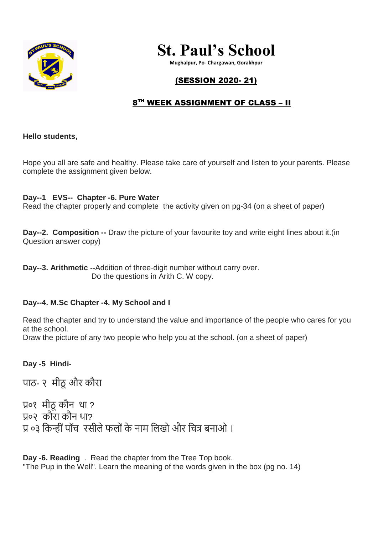

**St. Paul's School**

**Mughalpur, Po- Chargawan, Gorakhpur**

## (SESSION 2020- 21)

## **8<sup>TH</sup> WEEK ASSIGNMENT OF CLASS – II**

#### **Hello students,**

Hope you all are safe and healthy. Please take care of yourself and listen to your parents. Please complete the assignment given below.

#### **Day--1 EVS-- Chapter -6. Pure Water**

Read the chapter properly and complete the activity given on pg-34 (on a sheet of paper)

**Day--2. Composition --** Draw the picture of your favourite toy and write eight lines about it.(in Question answer copy)

**Day--3. Arithmetic --**Addition of three-digit number without carry over. Do the questions in Arith C. W copy.

### **Day--4. M.Sc Chapter -4. My School and I**

Read the chapter and try to understand the value and importance of the people who cares for you at the school.

Draw the picture of any two people who help you at the school. (on a sheet of paper)

**Day -5 Hindi-**

पाठ- २ मीठूऔर कौरा

प्र०१ मीठूकौन था ? प्र०२ कौरा कौन था? प्र ०३ किन्हीं पॉच रसीले फलों के नाम लिखो और चित्र बनाओ ।

**Day -6. Reading** . Read the chapter from the Tree Top book. "The Pup in the Well". Learn the meaning of the words given in the box (pg no. 14)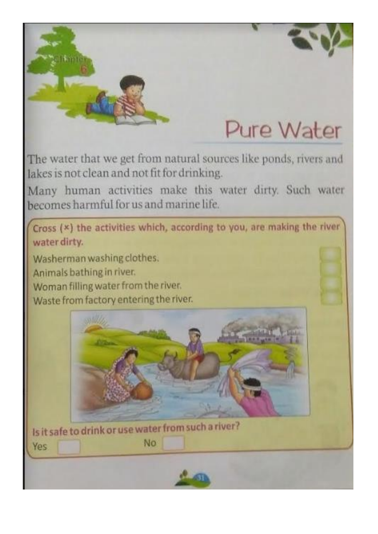

The water that we get from natural sources like ponds, rivers and lakes is not clean and not fit for drinking.

Many human activities make this water dirty. Such water becomes harmful for us and marine life.

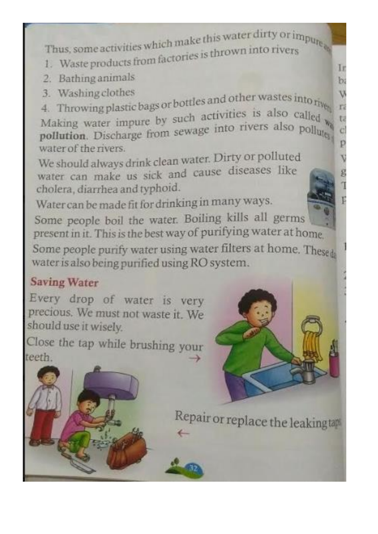Thus, some activities which make this water dirty or impute

- 1. Waste products from factories is thrown into rivers
- 2. Bathing animals
- 3. Washing clothes
- 3. Washing clothes<br>4. Throwing plastic bags or bottles and other wastes into  $r_{i\gamma_{\theta_0}}$

Making water impure by such activities is also called w Making water impure by such age into rivers also pollution. Discharge from sewage into rivers also pollute water of the rivers.

We should always drink clean water. Dirty or polluted water can make us sick and cause diseases like cholera, diarrhea and typhoid.

Water can be made fit for drinking in many ways.

Some people boil the water. Boiling kills all germs present in it. This is the best way of purifying water at home.

Some people purify water using water filters at home. These de water is also being purified using RO system.

# **Saving Water**

Every drop of water is very precious. We must not waste it. We should use it wisely.

Close the tap while brushing your teeth.

Repair or replace the leakingtan

Ir

b

v

rz

tż

 $\overline{c}$ 

p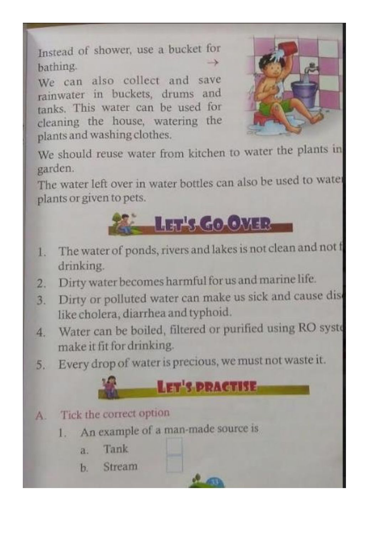Instead of shower, use a bucket for bathing.

We can also collect and save rainwater in buckets, drums and tanks. This water can be used for cleaning the house, watering the plants and washing clothes.



We should reuse water from kitchen to water the plants in garden.

The water left over in water bottles can also be used to water plants or given to pets.



- The water of ponds, rivers and lakes is not clean and not f 1. drinking.
- 2. Dirty water becomes harmful for us and marine life.
- 3. Dirty or polluted water can make us sick and cause dislike cholera, diarrhea and typhoid.
- Water can be boiled, filtered or purified using RO syste  $4.$ make it fit for drinking.

LET'S PRACTISE

5. Every drop of water is precious, we must not waste it.

## A. Tick the correct option

- 1. An example of a man-made source is
	- Tank a.
	- Stream  $b.$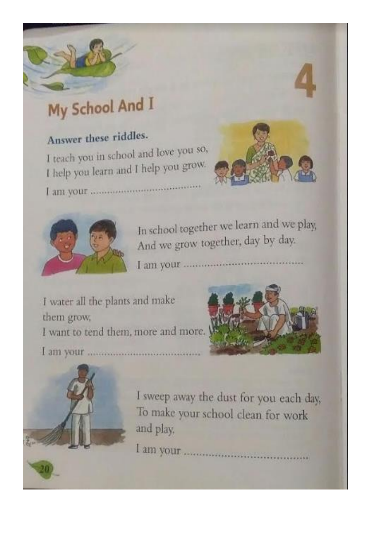# My School And I

# Answer these riddles.

I teach you in school and love you so, I help you learn and I help you grow.



In school together we learn and we play, And we grow together, day by day.

I water all the plants and make them grow, I want to tend them, more and more.





I sweep away the dust for you each day, To make your school clean for work and play.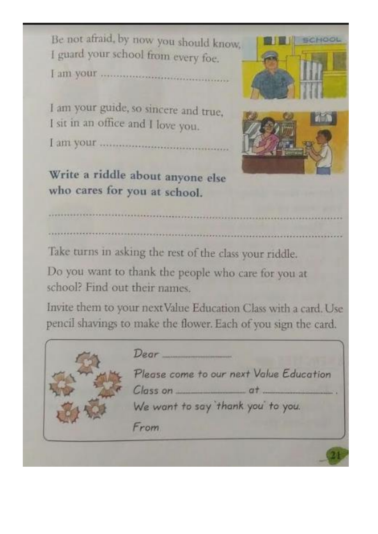Be not afraid, by now you should know, I guard your school from every foe.

I am your guide, so sincere and true, I sit in an office and I love you.

Write a riddle about anyone else who cares for you at school.



Take turns in asking the rest of the class your riddle.

Do you want to thank the people who care for you at school? Find out their names.

Invite them to your nextValue Education Class with a card. Use pencil shavings to make the flower. Each of you sign the card.

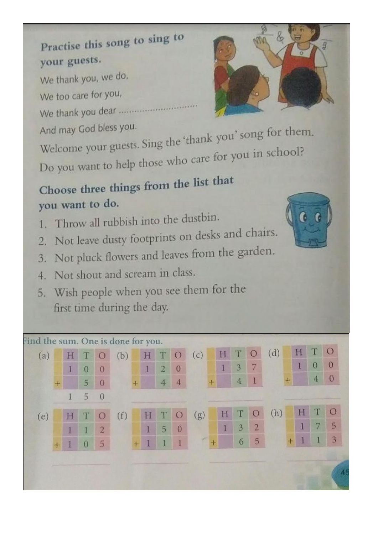# Practise this song to sing to your guests.

We thank you, we do, We too care for you, We thank you dear ............................

And may God bless you.



Welcome your guests. Sing the 'thank you' song for them. Do you want to help those who care for you in school?

# Choose three things from the list that you want to do.

- 1. Throw all rubbish into the dustbin.
- Not leave dusty footprints on desks and chairs.  $2.$
- Not pluck flowers and leaves from the garden.  $3.$
- 4. Not shout and scream in class.
- 5. Wish people when you see them for the first time during the day.



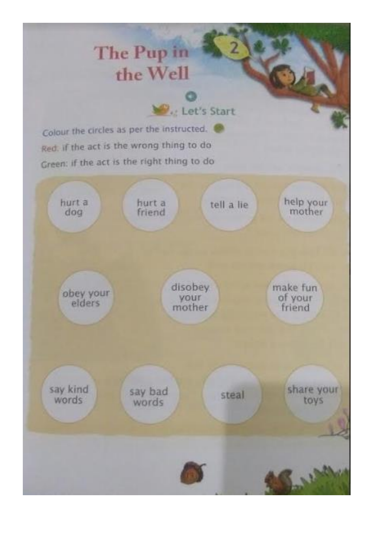